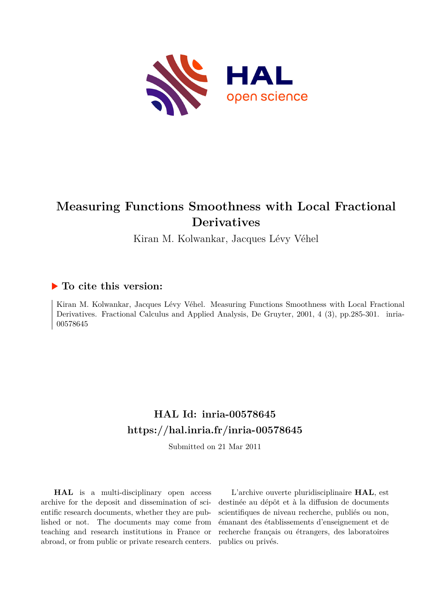

# **Measuring Functions Smoothness with Local Fractional Derivatives**

Kiran M. Kolwankar, Jacques Lévy Véhel

# **To cite this version:**

Kiran M. Kolwankar, Jacques Lévy Véhel. Measuring Functions Smoothness with Local Fractional Derivatives. Fractional Calculus and Applied Analysis, De Gruyter, 2001, 4 (3), pp.285-301. inria-00578645ff

# **HAL Id: inria-00578645 <https://hal.inria.fr/inria-00578645>**

Submitted on 21 Mar 2011

**HAL** is a multi-disciplinary open access archive for the deposit and dissemination of scientific research documents, whether they are published or not. The documents may come from teaching and research institutions in France or abroad, or from public or private research centers.

L'archive ouverte pluridisciplinaire **HAL**, est destinée au dépôt et à la diffusion de documents scientifiques de niveau recherche, publiés ou non, émanant des établissements d'enseignement et de recherche français ou étrangers, des laboratoires publics ou privés.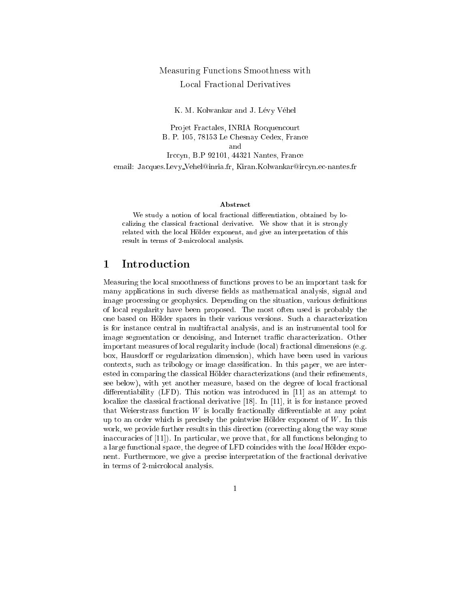# Measuring Fun
tions Smoothness with

K. M. Kolwankar and J. Lévy Véhel

Projet Fractales, INRIA Rocquencourt B. P. 105, 78153 Le Chesnay Cedex, Fran
e and Irccyn, B.P 92101, 44321 Nantes, France email: Jacques.Levy\_Vehel@inria.fr, Kiran.Kolwankar@ircyn.ec-nantes.fr

#### **Abstract**

We study <sup>a</sup> notion of lo
al fra
tional dierentiation, obtained by lo alizing the complete motor that it is strongly that it is strongly related with the local distance and give and give and give and give an interpretation of the result in terms of 2-mi
rolo
al analysis.

#### $\mathbf{1}$ **Introduction**

Measuring the local smoothness of functions proves to be an important task for many applications in such diverse fields as mathematical analysis, signal and image processing or geophysics. Depending on the situation, various definitions of lo
al regularity have been proposed. The most often used is probably the one based on Hölder spaces in their various versions. Such a characterization is for instan
e entral in multifra
tal analysis, and is an instrumental tool for image segmentation or denoising, and Internet traffic characterization. Other important measures of local regularity include (local) fractional dimensions (e.g. box, Hausdorff or regularization dimension), which have been used in various contexts, such as tribology or image classification. In this paper, we are interested in comparing the classical Hölder characterizations (and their refinements, see below), with yet another measure, based on the degree of local fractional differentiability (LFD). This notion was introduced in  $[11]$  as an attempt to localize the classical fractional derivative [18]. In [11], it is for instance proved that Weierstrass function  $W$  is locally fractionally differentiable at any point up to an order which is precisely the pointwise Hölder exponent of  $W$ . In this work, we provide further results in this direction (correcting along the way some inaccuracies of  $[11]$ . In particular, we prove that, for all functions belonging to a large functional space, the degree of LFD coincides with the local Hölder exponent. Furthermore, we give a precise interpretation of the fractional derivative in terms of 2-mi
rolo
al analysis.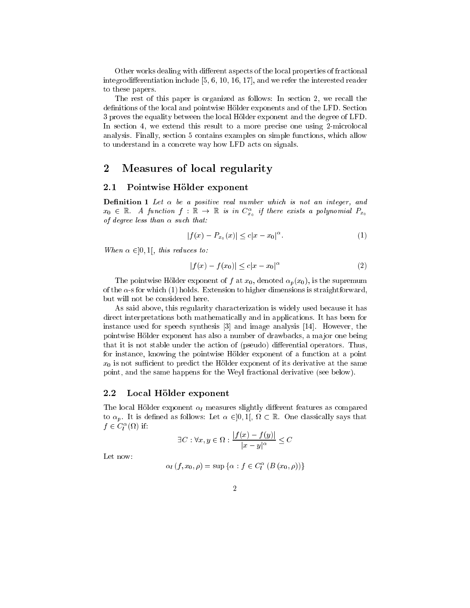Other works dealing with different aspects of the local properties of fractional integrodifferentiation include  $[5, 6, 10, 16, 17]$ , and we refer the interested reader to these papers.

The rest of this paper is organized as follows: In section 2, we recall the definitions of the local and pointwise Hölder exponents and of the LFD. Section 3 proves the equality between the lo
al Holder exponent and the degree of LFD. In section 4, we extend this result to a more precise one using 2-microlocal analysis. Finally, se
tion 5 ontains examples on simple fun
tions, whi
h allow to understand in a concrete way how LFD acts on signals.

## 2 Measures of local regularity

#### 2.1 Pointwise Hölder exponent

**Definition 1** Let  $\alpha$  be a positive real number which is not an integer, and  $x_0$   $\in$  K. A function  $J$  : K  $\rightarrow$  K is in  $C_{x_0}$  if there exists a polynomial  $P_{x_0}$  $\sim$ of degree less than  $\alpha$  such that:

$$
|f(x) - P_{x_0}(x)| \le c|x - x_0|^{\alpha}.
$$
 (1)

When  $\alpha \in ]0,1[$ , this reduces to:

$$
|f(x) - f(x_0)| \le c|x - x_0|^{\alpha} \tag{2}
$$

The pointwise Hölder exponent of f at  $x_0$ , denoted  $\alpha_p(x_0)$ , is the supremum of the  $\alpha$ -s for which (1) holds. Extension to higher dimensions is straightforward, but will not be onsidered here.

As said above, this regularity characterization is widely used because it has direct interpretations both mathematically and in applications. It has been for instance used for speech synthesis [3] and image analysis [14]. However, the pointwise Hölder exponent has also a number of drawbacks, a major one being that it is not stable under the action of (pseudo) differential operators. Thus, for instance, knowing the pointwise Hölder exponent of a function at a point  $x_0$  is not sufficient to predict the Hölder exponent of its derivative at the same point, and the same happens for the Weyl fra
tional derivative (see below).

#### 2.2Local Hölder exponent

The local Hölder exponent  $\alpha_l$  measures slightly different features as compared to p. It is defined as follows: Let it field in the Let  $\alpha$  and  $\alpha$  are the same  $\alpha$  $j \in C^{\perp}_{\ell}(\Omega)$  if:

$$
\exists C : \forall x, y \in \Omega : \frac{|f(x) - f(y)|}{|x - y|^{\alpha}} \le C
$$

Let now:

$$
\alpha_{l}\left(f,x_{0},\rho\right)=\sup\left\{\alpha:f\in C_{l}^{\alpha}\left(B\left(x_{0},\rho\right)\right)\right\}
$$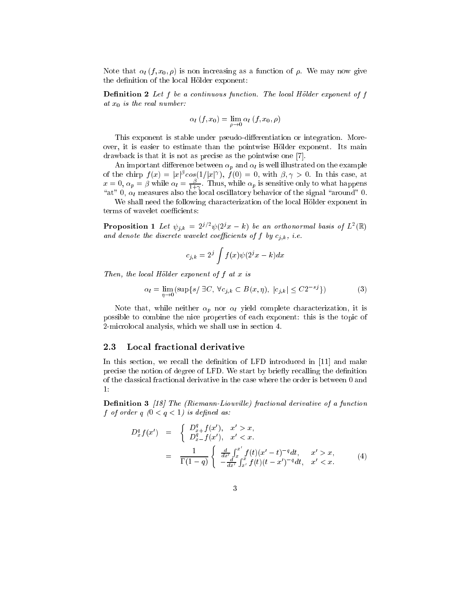Note that  $\alpha_l (f, x_0, \rho)$  is non increasing as a function of  $\rho$ . We may now give the definition of the local Hölder exponent:

**Definition 2** Let  $f$  be a continuous function. The local Hölder exponent of  $f$ at  $x_0$  is the real number:

$$
\alpha_l(f,x_0)=\lim_{\rho\to 0}\alpha_l(f,x_0,\rho)
$$

This exponent is stable under pseudo-differentiation or integration. Moreover, it is easier to estimate than the pointwise Hölder exponent. Its main drawback is that it is not as precise as the pointwise one [7].

An important difference between  $\alpha_p$  and  $\alpha_l$  is well illustrated on the example of the chirp  $f(x) = |x|^{\rho} \cos(1/|x|^{p}), f(0) = 0$ , with  $\rho, \gamma > 0$ . In this case, at  $x = 0, \, \alpha_p = \beta$  while  $\alpha_l = \frac{\varepsilon}{1+\gamma}$ . Thus, while  $\alpha_p$  is sensitive only to what happens "at" 0,  $\alpha_l$  measures also the local oscillatory behavior of the signal "around" 0.

We shall need the following characterization of the local Hölder exponent in terms of wavelet coefficients:

**Proposition 1** Let  $\psi_{j,k} = 2^{j} \psi(2^j x - \kappa)$  be an orthonormal basis of L<sup>-</sup>(K) and denote the district of the distribution of  $j$  , i.e.,  $j$  ,  $k$  ,  $i$  ,  $k$ 

$$
c_{j,k} = 2^j \int f(x) \psi(2^j x - k) dx
$$

Then, the local Hölder exponent of  $f$  at  $x$  is

$$
\alpha_l = \lim_{\eta \to 0} (\sup \{ s / \exists C, \ \forall c_{j,k} \subset B(x,\eta), \ |c_{j,k}| \le C2^{-sj} \})
$$
 (3)

Note that, while neither  $\alpha_p$  nor  $\alpha_l$  yield complete characterization, it is possible to ombine the ni
e properties of ea
h exponent: this is the topi of 2-mi
rolo
al analysis, whi
h we shall use in se
tion 4.

#### 2.3Local fractional derivative

In this section, we recall the definition of LFD introduced in [11] and make precise the notion of degree of LFD. We start by briefly recalling the definition of the lassi
al fra
tional derivative in the ase where the order is between 0 and 1:

Definition 3 [18] The (Riemann-Liouville) fractional derivative of a function f of order <sup>q</sup> (0 <sup>&</sup>lt; <sup>q</sup> <sup>&</sup>lt; 1) is dened as:

$$
D_x^q f(x') = \begin{cases} D_{x+}^q f(x'), & x' > x, \\ D_{x-}^q f(x'), & x' < x. \end{cases}
$$
  
= 
$$
\frac{1}{\Gamma(1-q)} \begin{cases} \frac{d}{dx'} \int_x^{x'} f(t)(x'-t)^{-q} dt, & x' > x, \\ -\frac{d}{dx'} \int_{x'}^x f(t)(t-x')^{-q} dt, & x' < x. \end{cases}
$$
(4)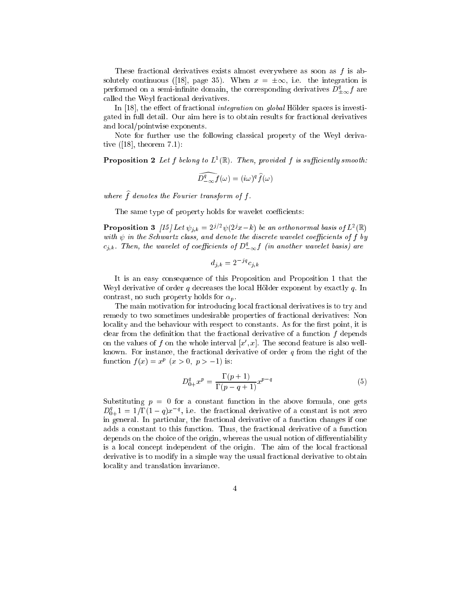These fractional derivatives exists almost everywhere as soon as f is absolutely continuous ([18], page 35). When  $x = \pm \infty$ , i.e. the integration is performed on a semi-infinite domain, the corresponding derivatives  $D^{\ast}_{+\infty}f$  are alled the Weyl fra
tional derivatives.

In  $[18]$ , the effect of fractional *integration* on *global* Hölder spaces is investigated in full detail. Our aim here is to obtain results for fra
tional derivatives and lo
al/pointwise exponents.

Note for further use the following lassi
al property of the Weyl derivative  $([18],$  theorem  $[7.1)$ :

**Proposition 2** Let  $I$  belong to  $L^-(\mathbb{R})$ . Then, provided  $I$  is sufficiently smooth:

$$
\widehat{D_{-\infty}^q f}(\omega) = (i\omega)^q \widehat{f}(\omega)
$$

where  $\widehat{f}$  denotes the Fourier transform of f.

The same type of property holds for wavelet coefficients:

**Proposition 3** [15] Let  $\psi_{i,k} = 2^{j} \psi(2^j x - \kappa)$  be an orthonormal basis of L<sup>-</sup>(K) with  $\psi$  in the Schwartz class, and denote the discrete wavelet coefficients of f by  $c_{j,k}$ . Then, the wavelet of coefficients of  $D_{-\infty}^*f$  (in another wavelet basis) are

$$
d_{j,k} = 2^{-jq} c_{j,k}
$$

It is an easy onsequen
e of this Proposition and Proposition 1 that the Weyl derivative of order  $q$  decreases the local Hölder exponent by exactly  $q$ . In contrast, no such property holds for  $\alpha_p$ .

The main motivation for introducing local fractional derivatives is to try and remedy to two sometimes undesirable properties of fractional derivatives: Non locality and the behaviour with respect to constants. As for the first point, it is clear from the definition that the fractional derivative of a function  $f$  depends on the values of  $f$  on the whole interval  $|x|, x$  . The second feature is also wellknown. For instance, the fractional derivative of order  $q$  from the right of the function  $f(x) = x^p$  ( $x > 0$ ,  $p > -1$ ) is:

$$
D_{0+}^q x^p = \frac{\Gamma(p+1)}{\Gamma(p-q+1)} x^{p-q}
$$
\n<sup>(5)</sup>

Substituting  $p = 0$  for a constant function in the above formula, one gets  $D^3_{0+}1 = 1/\Gamma(1-q)x^{-q}$ , i.e. the fractional derivative of a constant is not zero in general. In particular, the fractional derivative of a function changes if one adds a onstant to this fun
tion. Thus, the fra
tional derivative of a fun
tion depends on the choice of the origin, whereas the usual notion of differentiability is a local concept independent of the origin. The aim of the local fractional derivative is to modify in a simple way the usual fractional derivative to obtain lo
ality and translation invarian
e.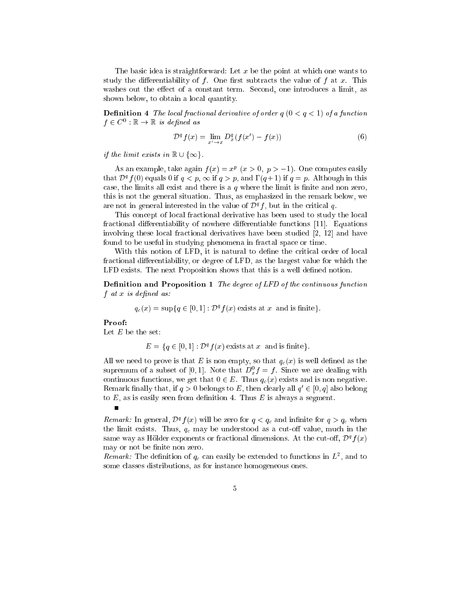The basic idea is straightforward: Let x be the point at which one wants to study the differentiability of  $f$ . One first subtracts the value of  $f$  at  $x$ . This washes out the effect of a constant term. Second, one introduces a limit, as shown below, to obtain a lo
al quantity.

**Definition 4** The local fractional derivative of order  $q$   $(0 < q < 1)$  of a function  $I \in \mathbb{C}^+ : \mathbb{R} \to \mathbb{R}$  is defined as

$$
\mathcal{D}^q f(x) = \lim_{x' \to x} D_x^q (f(x') - f(x)) \tag{6}
$$

if the limit exists in  $\mathbb{R} \cup \{\infty\}.$ 

As an example, take again  $f(x) = x^p$  ( $x > 0$ ,  $p > -1$ ). One computes easily that  $D^* f(0)$  equals 0 if  $q \leq p$ ,  $\infty$  if  $q > p$ , and  $1$  ( $q + 1$ ) if  $q = p$ . Although in this case, the limits all exist and there is a  $q$  where the limit is finite and non zero, this is not the general situation. Thus, as emphasized in the remark below, we are not in general interested in the value of  $D^a f$  , but in the critical  $q$ .

This concept of local fractional derivative has been used to study the local fractional differentiability of nowhere differentiable functions [11]. Equations involving these local fractional derivatives have been studied [2, 12] and have found to be useful in studying phenomena in fractal space or time.

With this notion of LFD, it is natural to define the critical order of local fractional differentiability, or degree of LFD, as the largest value for which the LFD exists. The next Proposition shows that this is a well defined notion.

Definition and Proposition 1 The degree of LFD of the continuous function f at <sup>x</sup> is dened as:

$$
q_c(x) = \sup\{q \in [0,1]: \mathcal{D}^q f(x)
$$
 exists at x and is finite.

Proof:

 $\blacksquare$ 

Let  $E$  be the set:

$$
E = \{q \in [0, 1] : \mathcal{D}^q f(x) \text{ exists at } x \text{ and is finite}\}.
$$

All we need to prove is that E is non empty, so that  $q_c(x)$  is well defined as the supremum of a subset of  $[0,1]$ . Note that  $D_x^*f = f$ . Since we are dealing with continuous functions, we get that  $0 \in E$ . Thus  $q_c(x)$  exists and is non negative. Remark many that, if  $q > 0$  belongs to  $E$ , then clearly an  $q \in [0, q]$  also belong to  $E$ , as is easily seen from definition 4. Thus  $E$  is always a segment.

**Remark:** In general,  $D^*f(x)$  will be zero for  $q < q_c$  and infinite for  $q > q_c$  when the limit exists. Thus,  $q_c$  may be understood as a cut-off value, much in the same way as Holder exponents or fractional dimensions. At the cut-on,  $\nu$   $_{I}(x)$ may or not be finite non zero.

 $\kappa$  emark: The definition of  $q_c$  can easily be extended to functions in  $L^-,$  and to some lasses distributions, as for instan
e homogeneous ones.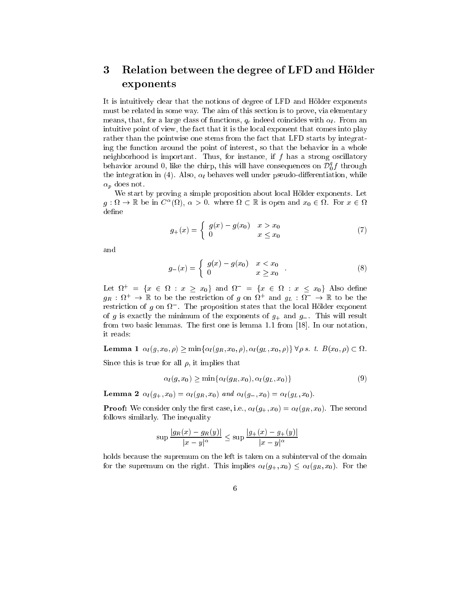# 3 Relation between the degree of LFD and Hölder exponents

It is intuitively lear that the notions of degree of LFD and Holder exponents must be related in some way. The aim of this se
tion is to prove, via elementary means, that, for a large class of functions,  $q_c$  indeed coincides with  $\alpha_l$ . From an intuitive point of view, the fact that it is the local exponent that comes into play rather than the pointwise one stems from the fact that LFD starts by integrating the fun
tion around the point of interest, so that the behavior in a whole neighborhood is important. Thus, for instance, if  $f$  has a strong oscillatory behavior around 0, like the chirp, this will have consequences on  $\mathcal{D}_0^*f$  through the integration in (4). Also,  $\alpha_l$  behaves well under pseudo-differentiation, while  $\alpha_p$  does not.

We start by proving a simple proposition about local Hölder exponents. Let  $g : \Omega \to \mathbb{R}$  be in C ( $\Omega$ ),  $\alpha > 0$ . Where  $\Omega \subset \mathbb{R}$  is open and  $x_0 \in \Omega$ . For  $x \in \Omega$ define

$$
g_{+}(x) = \begin{cases} g(x) - g(x_0) & x > x_0 \\ 0 & x \le x_0 \end{cases}
$$
 (7)

and

$$
g_{-}(x) = \begin{cases} g(x) - g(x_0) & x < x_0 \\ 0 & x \ge x_0 \end{cases}
$$
 (8)

Let  $\Omega = \{x \in \Omega : x \geq x_0\}$  and  $\Omega = \{x \in \Omega : x \leq x_0\}$  Also define  $g_R$  :  $\mu$   $\rightarrow$   $\mu$  to be the restriction of g on  $\mu$  and  $g_L$  :  $\mu$   $\rightarrow$   $\mu$  to be the restriction of  $g$  on  $\Omega$  . The proposition states that the local Holder exponent of g is exactly the minimum of the exponents of  $g_+$  and  $g_-$ . This will result from two basic lemmas. The first one is lemma 1.1 from [18]. In our notation, it reads:

 $-$  ------- –  $\cdots$  ,  $\cdots$  )  $\cdots$  )  $\cdots$  .  $\cdots$  .  $\cdots$   $\cdots$   $\cdots$   $\cdots$   $\cdots$   $\cdots$   $\cdots$   $\cdots$   $\cdots$   $\cdots$   $\cdots$   $\cdots$   $\cdots$   $\cdots$ 

Since this is true for all  $\rho$ , it implies that

$$
\alpha_l(g, x_0) \ge \min\{\alpha_l(g_R, x_0), \alpha_l(g_L, x_0)\}\tag{9}
$$

**Lemma 2**  $\alpha_l(g_+, x_0) = \alpha_l(g_R, x_0)$  and  $\alpha_l(g_-, x_0) = \alpha_l(g_L, x_0)$ .

**Proof:** We consider only the first case, i.e.,  $\alpha_l(g_+,x_0) = \alpha_l(g_R,x_0)$ . The second follows similarly. The inequality

$$
\sup \frac{|g_R(x) - g_R(y)|}{|x - y|^{\alpha}} \le \sup \frac{|g_+(x) - g_+(y)|}{|x - y|^{\alpha}}
$$

holds because the supremum on the left is taken on a subinterval of the domain for the supremum on the right. This implies  $\alpha_l(g_+, x_0) \leq \alpha_l(g_R, x_0)$ . For the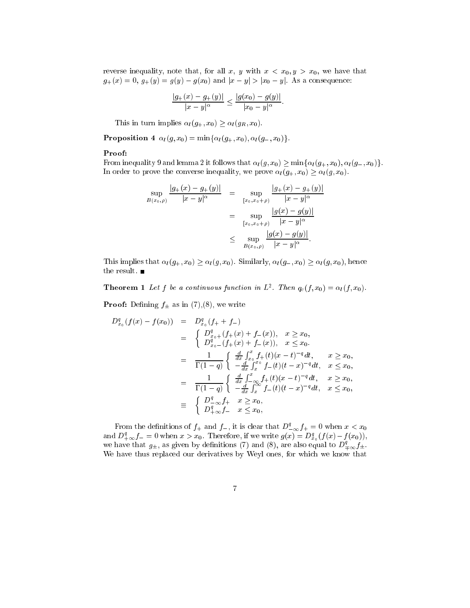reverse inequality, note that, for all x, y with  $x < x_0, y > x_0$ , we have that  $g_+(x) = 0$ ,  $g_+(y) = g(y) - g(x_0)$  and  $|x - y| > |x_0 - y|$ . As a consequence:

$$
\frac{|g_+(x) - g_+(y)|}{|x - y|^{\alpha}} \le \frac{|g(x_0) - g(y)|}{|x_0 - y|^{\alpha}}.
$$

This in turn implies  $\alpha_l(g_+, x_0) \geq \alpha_l(g_R, x_0)$ .

Proposition 4  $\alpha_l(g, x_0) = \min{\lbrace \alpha_l(g_+, x_0), \alpha_l(g_-, x_0) \rbrace}.$ 

## Proof:

From inequality 9 and lemma 2 it follows that  $\alpha_l(g, x_0) \ge \min{\{\alpha_l(g_+, x_0), \alpha_l(g_-, x_0)\}}$ . In order to prove the converse inequality, we prove  $\alpha_l(g_+, x_0) \geq \alpha_l(g, x_0)$ .

$$
\sup_{B(x_0,\rho)}\frac{|g_+(x)-g_+(y)|}{|x-y|^{\alpha}} = \sup_{\substack{[x_0,x_0+\rho) \\ \text{sup}}\frac{|g_+(x)-g_+(y)|}{|x-y|^{\alpha}}}
$$
\n
$$
= \sup_{\substack{[x_0,x_0+\rho) \\ \text{sup}}\frac{|g(x)-g(y)|}{|x-y|^{\alpha}}}
$$
\n
$$
\leq \sup_{B(x_0,\rho)}\frac{|g(x)-g(y)|}{|x-y|^{\alpha}}.
$$

This implies that  $\alpha_l(g_+, x_0) \geq \alpha_l(g, x_0)$ . Similarly,  $\alpha_l(g_-, x_0) \geq \alpha_l(g, x_0)$ , hence the result.  $\blacksquare$ 

**Theorem 1** Let f be a continuous function in L . Then  $q_c(f, x_0) = \alpha_l(f, x_0)$ .

**Proof:** Defining  $f_{\pm}$  as in (7),(8), we write

$$
D_{x_0}^q(f(x) - f(x_0)) = D_{x_0}^q(f_+ + f_-)
$$
  
\n
$$
= \begin{cases} D_{x_0+}^q(f_+(x) + f_-(x)), & x \ge x_0, \\ D_{x_0-}^q(f_+(x) + f_-(x)), & x \le x_0. \end{cases}
$$
  
\n
$$
= \frac{1}{\Gamma(1-q)} \begin{cases} \frac{d}{dx} \int_{x_0}^x f_+(t)(x-t)^{-q} dt, & x \ge x_0, \\ -\frac{d}{dx} \int_{x}^x f_-(t)(t-x)^{-q} dt, & x \le x_0, \end{cases}
$$
  
\n
$$
= \frac{1}{\Gamma(1-q)} \begin{cases} \frac{d}{dx} \int_{-\infty}^x f_+(t)(x-t)^{-q} dt, & x \ge x_0, \\ -\frac{d}{dx} \int_{x}^{\infty} f_-(t)(t-x)^{-q} dt, & x \le x_0, \\ D_{+\infty}^q f_+ & x \ge x_0, \end{cases}
$$
  
\n
$$
\equiv \begin{cases} D_{+\infty}^q f_+ & x \ge x_0, \\ D_{+\infty}^q f_- & x \le x_0, \end{cases}
$$

From the definitions of  $f_+$  and  $f_-$ , it is clear that  $D_{-\infty}^*f_+=0$  when  $x < x_0$ and  $D_{+\infty}^* f_- = 0$  when  $x > x_0$ . Therefore, if we write  $g(x) = D_{x_0}^q(f(x) - f(x_0))$ , we have that  $g_{\pm}$ , as given by definitions (7) and (8), are also equal to  $D_{\pm\infty}^q f_{\pm}$ . We have thus repla
ed our derivatives by Weyl ones, for whi
h we know that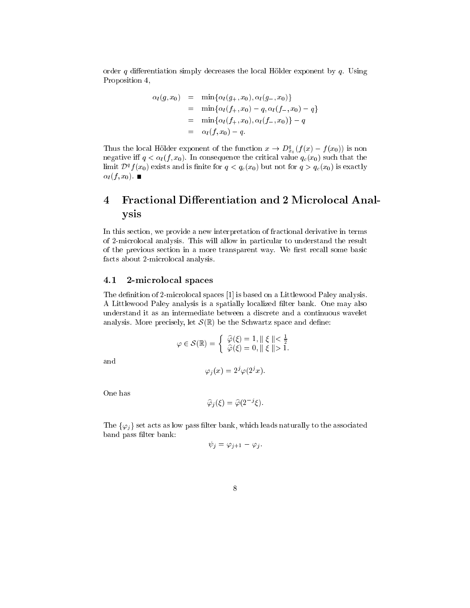order q differentiation simply decreases the local Hölder exponent by  $q$ . Using Proposition 4,

$$
\alpha_l(g, x_0) = \min{\alpha_l(g_+, x_0), \alpha_l(g_-, x_0)}
$$
  
= 
$$
\min{\alpha_l(f_+, x_0) - q, \alpha_l(f_-, x_0) - q}
$$
  
= 
$$
\min{\alpha_l(f_+, x_0), \alpha_l(f_-, x_0)} - q
$$
  
= 
$$
\alpha_l(f, x_0) - q.
$$

Thus the local Holder exponent of the function  $x \to D_{x_0}^*(f(x) - f(x_0))$  is non  $-11$ rities in the subset of the common successive common and the subset of the subset of the subset of the subset limit  $D^a f(x_0)$  exists and is finite for  $q < q_c(x_0)$  but not for  $q > q_c(x_0)$  is exactly  $\alpha_l(f, x_0)$ .

## Fractional Differentiation and 2 Microlocal Anal- $\overline{4}$ ysis

In this section, we provide a new interpretation of fractional derivative in terms of 2-microlocal analysis. This will allow in particular to understand the result of the previous section in a more transparent way. We first recall some basic facts about 2-microlocal analysis.

#### 4.12-mi
rolo
al spa
es

The definition of 2-microlocal spaces [1] is based on a Littlewood Paley analysis. A Littlewood Paley analysis is a spatially localized filter bank. One may also understand it as an intermediate between a dis
rete and a ontinuous wavelet analysis. More precisely, let  $\mathcal{S}(\mathbb{R})$  be the Schwartz space and define:

$$
\varphi \in \mathcal{S}(\mathbb{R}) = \begin{cases} \widehat{\varphi}(\xi) = 1, \parallel \xi \parallel < \frac{1}{2} \\ \widehat{\varphi}(\xi) = 0, \parallel \xi \parallel > 1. \end{cases}
$$

and

$$
\varphi_j(x) = 2^j \varphi(2^j x).
$$

One has

$$
\widehat{\varphi}_j(\xi) = \widehat{\varphi}(2^{-j}\xi).
$$

The  $\{\varphi_j\}$  set acts as low pass filter bank, which leads naturally to the associated band pass filter bank:

$$
\psi_j = \varphi_{j+1} - \varphi_j.
$$

$$
\epsilon
$$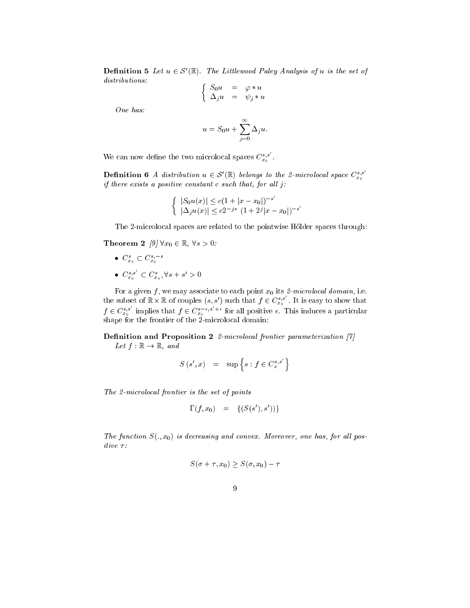**Definition 5** Let  $u \in S$  (K). The Littlewood Paley Analysis of a is the set of distributions: . .

$$
\left\{\n\begin{array}{rcl}\nS_0 u & = & \varphi * u \\
\Delta_j u & = & \psi_j * u\n\end{array}\n\right.
$$

One has:

$$
u = S_0 u + \sum_{j=0}^{\infty} \Delta_j u.
$$

We can now define the two microlocal spaces  $C_{x_0}^{s,s}$  .

**Definition 6** A distribution  $u \in S'(\mathbb{R})$  belongs to the 2-microlocal space  $C^{s,s}_{s}$  $\sim$ if there exists a positive constant  $c$  such that, for all  $j$ :

$$
\begin{cases} |S_0 u(x)| \le c(1+|x-x_0|)^{-s'}\\ |\Delta_j u(x)| \le c2^{-js} (1+2^j|x-x_0|)^{-s} \end{cases}
$$

The 2-microlocal spaces are related to the pointwise Hölder spaces through:

**Theorem 2**  $\left[\frac{9}{7}\right] \forall x_0 \in \mathbb{R}, \forall s > 0$ :

- $\bullet$   $\cup_{x_0}$   $\subset$   $\cup_{x_0}$
- $\bullet$   $C^{s,s}_{x_0} \subset C^s_{x_0}, \forall s + s' > 0$  $\vee$

For <sup>a</sup> given <sup>f</sup> , we may asso
iate to ea
h point x0 its 2-mi
rolo
al domain, i.e. the subset of  $\mathbb{R}\times \mathbb{R}$  of couples  $(s, s')$  such that  $f \in C_{x_0}^{s,s}$  . It is easy to show that  $f \in C^{s,s}_{x_0}$  implies that  $f \in C^{s-\epsilon,s}_{x_0}$  for all positive  $\epsilon$ . This induces a particular shape for the frontier of the 2-mi
rolo
al domain:

Definition and Proposition 2 2-microlocal frontier parameterization [7] Let  $f : \mathbb{R} \to \mathbb{R}$ , and

$$
S(s', x) = \sup \left\{ s : f \in C_x^{s, s'} \right\}
$$

The 2-microlocal frontier is the set of points

$$
\Gamma(f, x_0) = \{(S(s'), s'))\}
$$

The function  $S(.,x_0)$  is decreasing and convex. Moreover, one has, for all positive  $\tau$ :

$$
S(\sigma + \tau, x_0) \ge S(\sigma, x_0) - \tau
$$

$$
9 \\
$$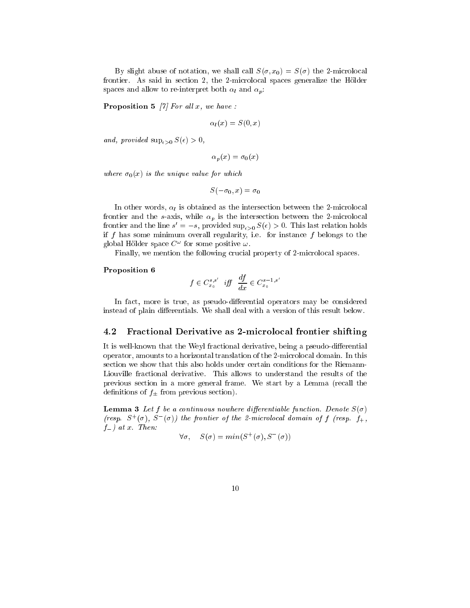By slight abuse of notation, we shall call  $S(\sigma, x_0) = S(\sigma)$  the 2-microlocal frontier. As said in section 2, the 2-microlocal spaces generalize the Hölder spaces and allow to re-interpret both  $\alpha_l$  and  $\alpha_p$ :

**Proposition 5** [7] For all  $x$ , we have :

$$
\alpha_l(x) = S(0, x)
$$

and, provided  $\sup_{\epsilon>0} S(\epsilon) > 0$ ,

$$
\alpha_p(x) = \sigma_0(x)
$$

where  $\sigma_0(x)$  is the unique value for which

$$
S(-\sigma_0, x) = \sigma_0
$$

In other words,  $\alpha_l$  is obtained as the intersection between the 2-microlocal frontier and the s-axis, while  $\alpha_p$  is the intersection between the 2-microlocal frontier and the line  $s = -s$ , provided  $\sup_{\epsilon > 0} s(\epsilon) \geq 0$ . This last relation holds if  $f$  has some minimum overall regularity, i.e. for instance  $f$  belongs to the global Holder space  $C$  for some positive  $\omega$ .

Finally, we mention the following crucial property of 2-microlocal spaces.

## Proposition <sup>6</sup>

$$
f \in C^{s,s'}_{x_0} \ \ \textit{iff} \ \ \frac{df}{dx} \in C^{s-1,s'}_{x_0}
$$

In fact, more is true, as pseudo-differential operators may be considered instead of plain differentials. We shall deal with a version of this result below.

#### 4.2Fractional Derivative as 2-microlocal frontier shifting

It is well-known that the Weyl fractional derivative, being a pseudo-differential operator, amounts to a horizontal translation of the 2-mi
rolo
al domain. In this se
tion we show that this also holds under ertain onditions for the Riemann-Liouville fra
tional derivative. This allows to understand the results of the previous se
tion in a more general frame. We start by a Lemma (re
all the definitions of  $f_{\pm}$  from previous section).

**Lemma 3** Let f be a continuous nowhere differentiable function. Denote  $S(\sigma)$ (resp.  $\infty$   $(\sigma)$ ,  $\infty$   $(\sigma)$ ) the frontier of the 2-microlocal domain of f (resp. f<sub>+</sub>,  $f_{-}$ ) at x. Then:

$$
\forall \sigma, \quad S(\sigma) = \min(S^+(\sigma), S^-(\sigma))
$$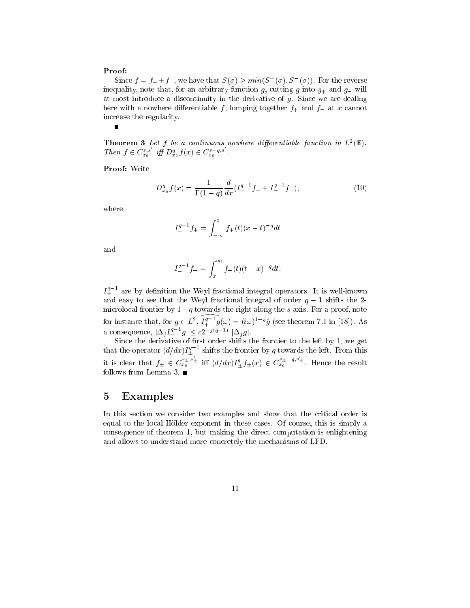## Proof:

 $\blacksquare$ 

Since  $f = f_+ + f_-$ , we have that  $S(\sigma) \geq min(S^+(\sigma), S^-(\sigma))$ . For the reverse inequality, note that, for an arbitrary function g, cutting g into  $g_+$  and  $g_-$  will at most introdu
e a dis
ontinuity in the derivative of g. Sin
e we are dealing here with a nowhere differentiable f, lumping together  $f_+$  and  $f_-$  at x cannot in
rease the regularity.

**Theorem 3** Let  $f$  be a continuous nowhere afferentiable function in  $L^2(\mathbb{R})$ . Then  $f \in C_{x_0}^{s,s}$  iff  $D_{x_0}^q f(x) \in C_{x_0}^{s-q,s}$ .

Proof: Write

$$
D_{x_0}^q f(x) = \frac{1}{\Gamma(1-q)} \frac{d}{dx} (I_+^{q-1} f_+ + I_-^{q-1} f_-), \tag{10}
$$

where

$$
I_{+}^{q-1}f_{+} = \int_{-\infty}^{x} f_{+}(t)(x-t)^{-q}dt
$$

and

$$
I_{-}^{q-1}f_{-} = \int_{x}^{\infty} f_{-}(t)(t-x)^{-q} dt.
$$

 $I_+^\ast$  - are by definition the Weyl fractional integral operators. It is well-known and easy to see that the Weyl fractional integral of order  $q-1$  shifts the 2microlocal frontier by  $1 - q$  towards the right along the s-axis. For a proof, note for instance that, for  $g \in L^2$ ,  $I_+^u$   $\bar{g}(\omega) = (\imath \omega)^{1-q} g$  (see theorem 7.1 in [18]). As a consequence,  $|\Delta_j I^*_{+} - g| \leq c2^{-J(q-1)} |\Delta_j g|.$ 

Sin
e the derivative of rst order shifts the frontier to the left by 1, we get that the operator  $(d/dx)I_+^{\ast}$  'shifts the frontier by  $q$  towards the left. From this it is clear that  $f_{\pm} \in C_{x_0}^{s_{\pm},s_{\pm}}$  iff  $(d/dx)I_{+}^q f_{\pm}(x) \in C$  $s_{x_0}^{s_{\pm}-q,s_{\pm}}$ . Hence the result follows from Lemma 3.  $\blacksquare$ 

## 5 Examples

In this section we consider two examples and show that the critical order is equal to the lo
al Holder exponent in these ases. Of ourse, this is simply a onsequen
e of theorem 1, but making the dire
t omputation is enlightening and allows to understand more concretely the mechanisms of LFD.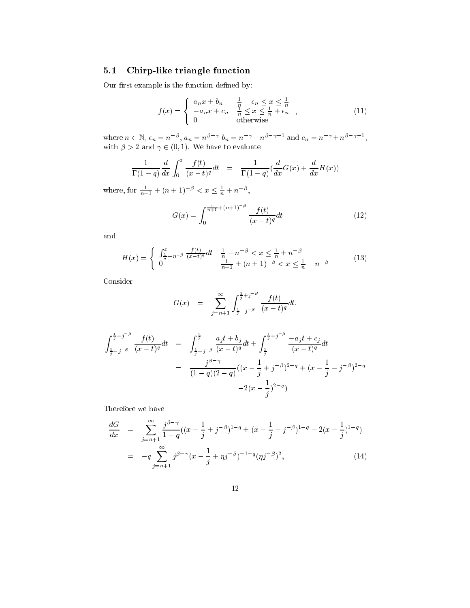#### 5.1Chirp-like triangle function

Our first example is the function defined by:

$$
f(x) = \begin{cases} a_n x + b_n & \frac{1}{n} - \epsilon_n \le x \le \frac{1}{n} \\ -a_n x + c_n & \frac{1}{n} \le x \le \frac{1}{n} + \epsilon_n \\ 0 & \text{otherwise} \end{cases}
$$
 (11)

where  $n \in \mathbb{N}$ ,  $\epsilon_n = n \epsilon$ ,  $a_n = n \epsilon \epsilon$ ,  $a_n = n \epsilon$ ,  $a_n = n \epsilon$ ,  $n \epsilon$ ,  $n = n \epsilon$ ,  $n \epsilon$ ,  $n \epsilon$ ,  $n \epsilon$ ,  $n \epsilon$ ,  $n \epsilon$ ,  $n \epsilon$ ,  $n \epsilon$ ,  $n \epsilon$ ,  $n \epsilon$ ,  $n \epsilon$ ,  $n \epsilon$ ,  $n \epsilon$ ,  $n \epsilon$ ,  $n \epsilon$ ,  $n \epsilon$ ,  $n \epsilon$ ,  $n \epsilon$ ,  $n \epsilon$ ,  $n \epsilon$ ,  $n \epsilon$ ,  $n \$ with the 2 and 2 and 2 and 2  $\mu$  and 2 and 2 and 2 and 2 and 2 and 2 and 2 and 2 and 2 and 2 and 2 and 2 and 2 and 2 and 2 and 2 and 2 and 2 and 2 and 2 and 2 and 2 and 2 and 2 and 2 and 2 and 2 and 2 and 2 and 2 and 2 a

$$
\frac{1}{\Gamma(1-q)}\frac{d}{dx}\int_0^x\frac{f(t)}{(x-t)^q}dt = \frac{1}{\Gamma(1-q)}\left(\frac{d}{dx}G(x) + \frac{d}{dx}H(x)\right)
$$

where, for  $\frac{1}{n+1} + (n+1)$   $\infty$   $\leq x \leq \frac{1}{n} + n$   $\infty$ ,

$$
G(x) = \int_0^{\frac{1}{n+1} + (n+1)^{-\beta}} \frac{f(t)}{(x-t)^q} dt
$$
 (12)

and

$$
H(x) = \begin{cases} \n\int_{\frac{1}{n}-n^{-\beta}}^x \frac{f(t)}{(x-t)^q} dt & \frac{1}{n}-n^{-\beta} < x \le \frac{1}{n}+n^{-\beta} \\
0 & \frac{1}{n+1}+(n+1)^{-\beta} < x \le \frac{1}{n}-n^{-\beta} \n\end{cases} \tag{13}
$$

Consider

$$
G(x) = \sum_{j=n+1}^{\infty} \int_{\frac{1}{j}-j^{-\beta}}^{\frac{1}{j}+j^{-\beta}} \frac{f(t)}{(x-t)^{q}} dt.
$$

$$
\int_{\frac{1}{j}-j-\beta}^{\frac{1}{j}+j-\beta} \frac{f(t)}{(x-t)^{q}} dt = \int_{\frac{1}{j}-j-\beta}^{\frac{1}{j}} \frac{a_{j}t+b_{j}}{(x-t)^{q}} dt + \int_{\frac{1}{j}}^{\frac{1}{j}+j-\beta} \frac{-a_{j}t+c_{j}}{(x-t)^{q}} dt
$$

$$
= \frac{j^{\beta-\gamma}}{(1-q)(2-q)} \left( (x-\frac{1}{j}+j-\beta)^{2-q} + (x-\frac{1}{j}-j-\beta)^{2-q} \right)
$$

$$
-2(x-\frac{1}{j})^{2-q}
$$

Therefore we have

$$
\frac{dG}{dx} = \sum_{j=n+1}^{\infty} \frac{j^{\beta-\gamma}}{1-q} \left( (x - \frac{1}{j} + j^{-\beta})^{1-q} + (x - \frac{1}{j} - j^{-\beta})^{1-q} - 2(x - \frac{1}{j})^{1-q} \right)
$$
\n
$$
= -q \sum_{j=n+1}^{\infty} j^{\beta-\gamma} (x - \frac{1}{j} + \eta j^{-\beta})^{-1-q} (\eta j^{-\beta})^2, \tag{14}
$$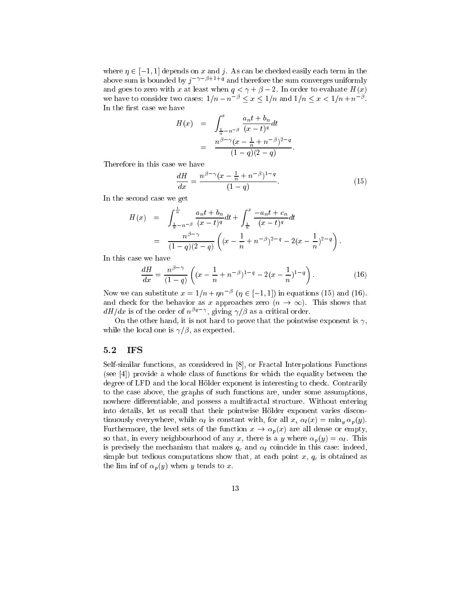where  $\eta \in [-1, 1]$  depends on x and j. As can be checked easily each term in the above sum is bounded by  $j \mapsto \ell + 1/4$  and therefore the sum converges uniformly and goes to zero with x at least when  $q < \gamma + \beta - 2$ . In order to evaluate  $H(x)$ We have to consider two cases:  $1/n - n \leq x \leq 1/n$  and  $1/n \leq x \leq 1/n + n \leq x$ In the first case we have

$$
H(x) = \int_{\frac{1}{n} - n^{-\beta}}^{x} \frac{a_n t + b_n}{(x - t)^q} dt
$$
  
= 
$$
\frac{n^{\beta - \gamma} (x - \frac{1}{n} + n^{-\beta})^{2 - q}}{(1 - q)(2 - q)}
$$

Therefore in this ase we have

$$
\frac{dH}{dx} = \frac{n^{\beta - \gamma} (x - \frac{1}{n} + n^{-\beta})^{1-q}}{(1-q)}.
$$
\n(15)

In the se
ond ase we get

$$
H(x) = \int_{\frac{1}{n}-n^{-\beta}}^{\frac{1}{n}} \frac{a_n t + b_n}{(x-t)^q} dt + \int_{\frac{1}{n}}^x \frac{-a_n t + c_n}{(x-t)^q} dt
$$
  
= 
$$
\frac{n^{\beta-\gamma}}{(1-q)(2-q)} \left( (x - \frac{1}{n} + n^{-\beta})^{2-q} - 2(x - \frac{1}{n})^{2-q} \right).
$$

In this ase we have

$$
\frac{dH}{dx} = \frac{n^{\beta - \gamma}}{(1 - q)} \left( (x - \frac{1}{n} + n^{-\beta})^{1 - q} - 2(x - \frac{1}{n})^{1 - q} \right). \tag{16}
$$

Now we can substitute  $x = 1/n + \eta n \in (\eta \in [-1, 1])$  in equations (15) and (16). and check for the behavior as x approaches zero  $(n \to \infty)$ . This shows that  $a_{\mathbf{\mathcal{H}}}$  as is of the order of  $n^{s_1}$  , giving  $\gamma$  is as a critical order.

On the other hand, it is not hard to prove that the pointwise exponent is  $\gamma$ , while the local one is  $\gamma/\beta$ , as expected.

#### 5.2IFS

Self-similar functions, as considered in [8], or Fractal Interpolations Functions  $\lceil (see [4])$  provide a whole class of functions for which the equality between the degree of LFD and the local Hölder exponent is interesting to check. Contrarily to the ase above, the graphs of su
h fun
tions are, under some assumptions, nowhere differentiable, and possess a multifractal structure. Without entering into details, let us recall that their pointwise Hölder exponent varies discontinuously everywhere, while  $\alpha_l$  is constant with, for all  $x, \alpha_l(x) = \min_{y} \alpha_p(y)$ . Furthermore, the level sets of the function  $x \to \alpha_p(x)$  are all dense or empty, so that, in every neighbourhood of any x, there is a y where  $\alpha_p(y) = \alpha_l$ . This is precisely the mechanism that makes  $q_c$  and  $\alpha_l$  coincide in this case: indeed, simple but tedious computations show that, at each point x,  $q_c$  is obtained as the lim inf of  $\alpha_p(y)$  when y tends to x.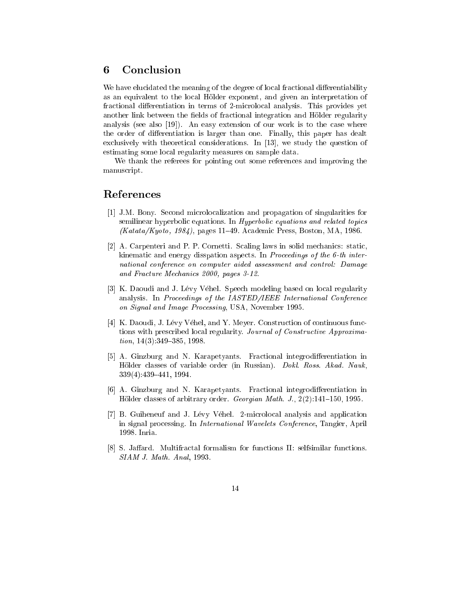## 6 Con
lusion

We have elucidated the meaning of the degree of local fractional differentiability as an equivalent to the lo
al Holder exponent, and given an interpretation of fractional differentiation in terms of 2-microlocal analysis. This provides yet another link between the fields of fractional integration and Hölder regularity analysis (see also  $[19]$ ). An easy extension of our work is to the case where the order of differentiation is larger than one. Finally, this paper has dealt exclusively with theoretical considerations. In  $[13]$ , we study the question of estimating some local regularity measures on sample data.

We thank the referees for pointing out some referen
es and improving the manus
ript.

## Referen
es

- [1] J.M. Bony. Second microlocalization and propagation of singularities for semilinear hyperbolic equations. In *Hyperbolic equations and related topics*  $(Katat/Nyoto, 1984)$ , pages 11–49. Academic Press, Boston, MA, 1986.
- [2] A. Carpenteri and P. P. Cornetti. Scaling laws in solid mechanics: static, kinematic and energy disspation aspects. In *Proceedings of the 6-th inter*national onferen
e on omputer aided assessment and ontrol: Damage and Fra
ture Me
hani
s 2000, pages 3-12.
- [3] K. Daoudi and J. Lévy Véhel. Speech modeling based on local regularity analysis. In Proceedings of the IASTED/IEEE International Conference on Signal and Image Processing, USA, November 1995.
- [4] K. Daoudi, J. Lévy Véhel, and Y. Meyer. Construction of continuous functions with prescribed local regularity. Journal of Constructive Approxima $tion, 14(3):349-385, 1998.$
- [5] A. Ginzburg and N. Karapetyants. Fractional integrodifferentiation in Hölder classes of variable order (in Russian). Dokl. Ross. Akad. Nauk, 339(4): 439-441, 1994.
- [6] A. Ginzburg and N. Karapetyants. Fractional integrodifferentiation in Hölder classes of arbitrary order. *Georgian Math. J.*,  $2(2)$ : 141–150, 1995.
- [7] B. Guiheneuf and J. Lévy Véhel. 2-microlocal analysis and application in signal pro
essing. In International Wavelets Conferen
e, Tangier, April 1998. Inria.
- [8] S. Jaffard. Multifractal formalism for functions II: selfsimilar functions. SIAM J. Math. Anal, 1993.